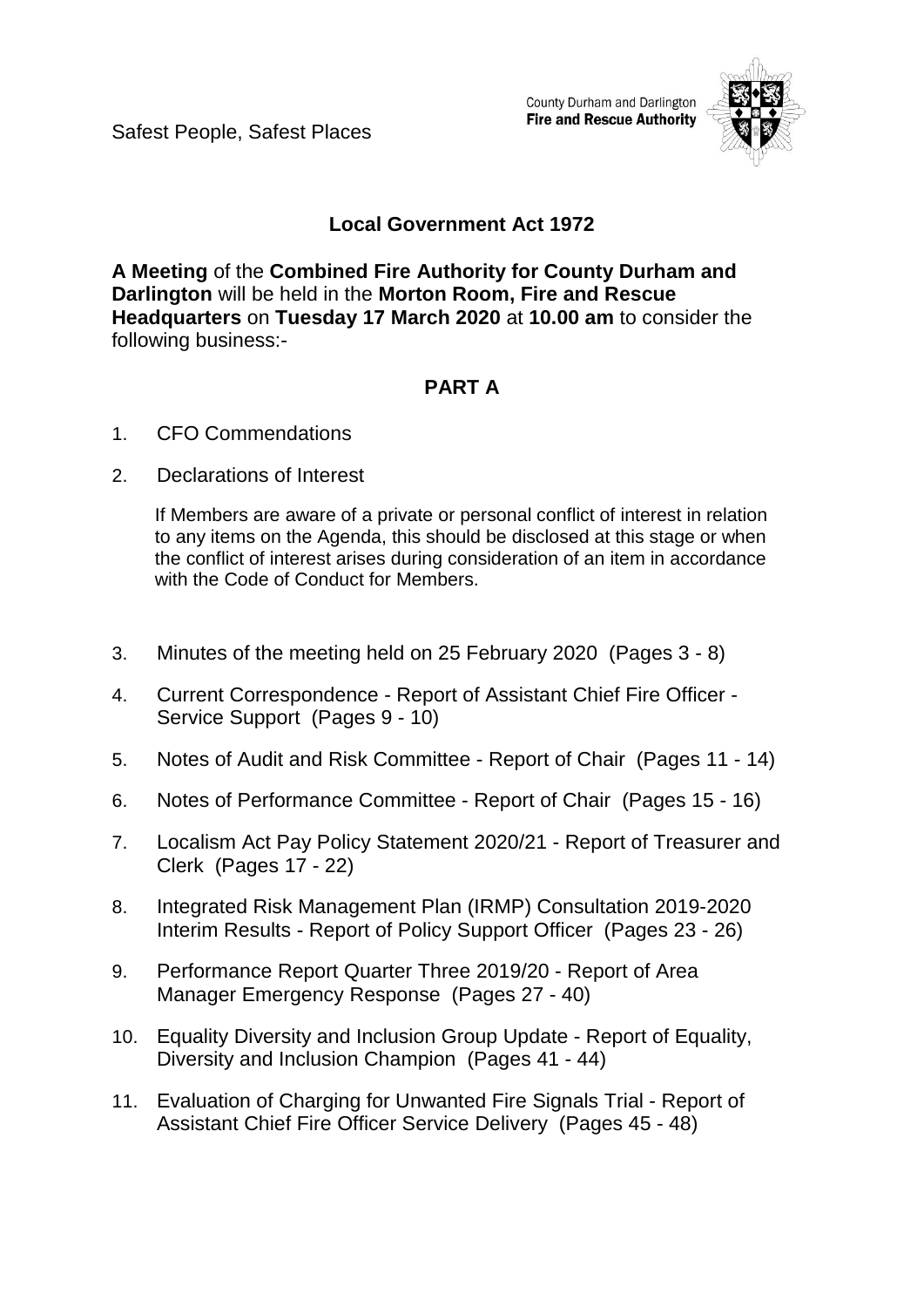Safest People, Safest Places

County Durham and Darlington **Fire and Rescue Authority** 



# **Local Government Act 1972**

**A Meeting** of the **Combined Fire Authority for County Durham and Darlington** will be held in the **Morton Room, Fire and Rescue Headquarters** on **Tuesday 17 March 2020** at **10.00 am** to consider the following business:-

# **PART A**

- 1. CFO Commendations
- 2. Declarations of Interest

If Members are aware of a private or personal conflict of interest in relation to any items on the Agenda, this should be disclosed at this stage or when the conflict of interest arises during consideration of an item in accordance with the Code of Conduct for Members.

- 3. Minutes of the meeting held on 25 February 2020(Pages 3 8)
- 4. Current Correspondence Report of Assistant Chief Fire Officer Service Support(Pages 9 - 10)
- 5. Notes of Audit and Risk Committee Report of Chair (Pages 11 14)
- 6. Notes of Performance Committee Report of Chair(Pages 15 16)
- 7. Localism Act Pay Policy Statement 2020/21 Report of Treasurer and Clerk(Pages 17 - 22)
- 8. Integrated Risk Management Plan (IRMP) Consultation 2019-2020 Interim Results - Report of Policy Support Officer(Pages 23 - 26)
- 9. Performance Report Quarter Three 2019/20 Report of Area Manager Emergency Response(Pages 27 - 40)
- 10. Equality Diversity and Inclusion Group Update Report of Equality, Diversity and Inclusion Champion(Pages 41 - 44)
- 11. Evaluation of Charging for Unwanted Fire Signals Trial Report of Assistant Chief Fire Officer Service Delivery(Pages 45 - 48)